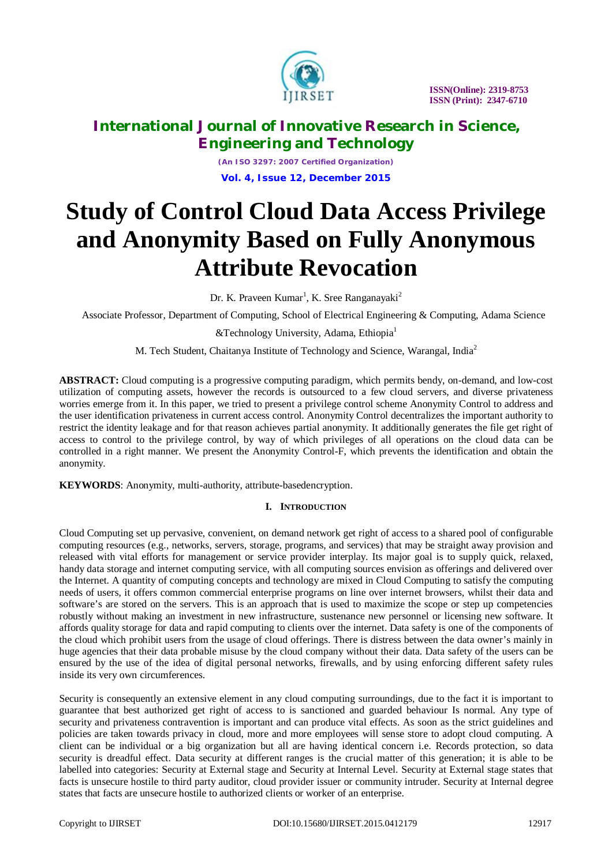

*(An ISO 3297: 2007 Certified Organization)* **Vol. 4, Issue 12, December 2015**

# **Study of Control Cloud Data Access Privilege and Anonymity Based on Fully Anonymous Attribute Revocation**

Dr. K. Praveen Kumar<sup>1</sup>, K. Sree Ranganayaki<sup>2</sup>

Associate Professor, Department of Computing, School of Electrical Engineering & Computing, Adama Science

&Technology University, Adama, Ethiopia<sup>1</sup>

M. Tech Student, Chaitanya Institute of Technology and Science, Warangal, India<sup>2</sup>

**ABSTRACT:** Cloud computing is a progressive computing paradigm, which permits bendy, on-demand, and low-cost utilization of computing assets, however the records is outsourced to a few cloud servers, and diverse privateness worries emerge from it. In this paper, we tried to present a privilege control scheme Anonymity Control to address and the user identification privateness in current access control. Anonymity Control decentralizes the important authority to restrict the identity leakage and for that reason achieves partial anonymity. It additionally generates the file get right of access to control to the privilege control, by way of which privileges of all operations on the cloud data can be controlled in a right manner. We present the Anonymity Control-F, which prevents the identification and obtain the anonymity.

**KEYWORDS**: Anonymity, multi-authority, attribute-basedencryption.

## **I. INTRODUCTION**

Cloud Computing set up pervasive, convenient, on demand network get right of access to a shared pool of configurable computing resources (e.g., networks, servers, storage, programs, and services) that may be straight away provision and released with vital efforts for management or service provider interplay. Its major goal is to supply quick, relaxed, handy data storage and internet computing service, with all computing sources envision as offerings and delivered over the Internet. A quantity of computing concepts and technology are mixed in Cloud Computing to satisfy the computing needs of users, it offers common commercial enterprise programs on line over internet browsers, whilst their data and software's are stored on the servers. This is an approach that is used to maximize the scope or step up competencies robustly without making an investment in new infrastructure, sustenance new personnel or licensing new software. It affords quality storage for data and rapid computing to clients over the internet. Data safety is one of the components of the cloud which prohibit users from the usage of cloud offerings. There is distress between the data owner's mainly in huge agencies that their data probable misuse by the cloud company without their data. Data safety of the users can be ensured by the use of the idea of digital personal networks, firewalls, and by using enforcing different safety rules inside its very own circumferences.

Security is consequently an extensive element in any cloud computing surroundings, due to the fact it is important to guarantee that best authorized get right of access to is sanctioned and guarded behaviour Is normal. Any type of security and privateness contravention is important and can produce vital effects. As soon as the strict guidelines and policies are taken towards privacy in cloud, more and more employees will sense store to adopt cloud computing. A client can be individual or a big organization but all are having identical concern i.e. Records protection, so data security is dreadful effect. Data security at different ranges is the crucial matter of this generation; it is able to be labelled into categories: Security at External stage and Security at Internal Level. Security at External stage states that facts is unsecure hostile to third party auditor, cloud provider issuer or community intruder. Security at Internal degree states that facts are unsecure hostile to authorized clients or worker of an enterprise.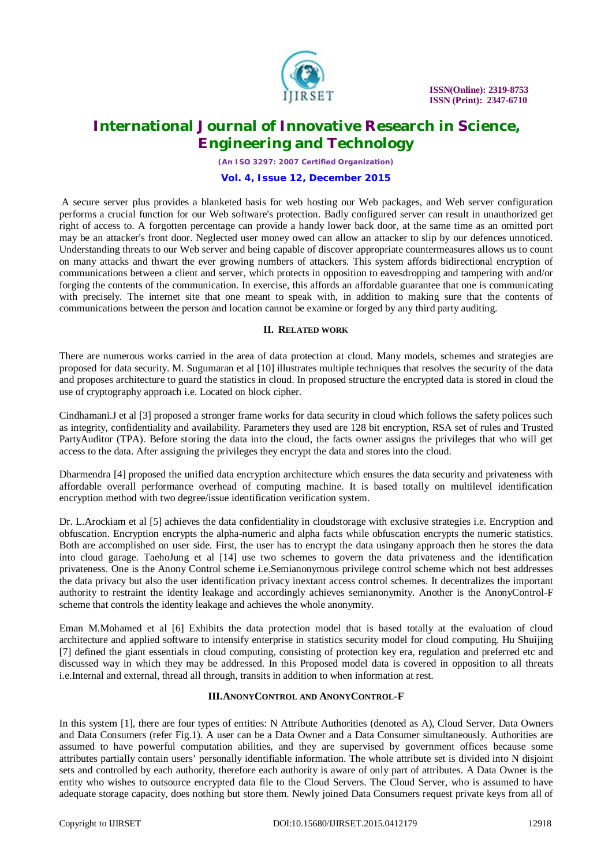

 **ISSN(Online): 2319-8753 ISSN (Print): 2347-6710**

## **International Journal of Innovative Research in Science, Engineering and Technology**

*(An ISO 3297: 2007 Certified Organization)*

#### **Vol. 4, Issue 12, December 2015**

A secure server plus provides a blanketed basis for web hosting our Web packages, and Web server configuration performs a crucial function for our Web software's protection. Badly configured server can result in unauthorized get right of access to. A forgotten percentage can provide a handy lower back door, at the same time as an omitted port may be an attacker's front door. Neglected user money owed can allow an attacker to slip by our defences unnoticed. Understanding threats to our Web server and being capable of discover appropriate countermeasures allows us to count on many attacks and thwart the ever growing numbers of attackers. This system affords bidirectional encryption of communications between a client and server, which protects in opposition to eavesdropping and tampering with and/or forging the contents of the communication. In exercise, this affords an affordable guarantee that one is communicating with precisely. The internet site that one meant to speak with, in addition to making sure that the contents of communications between the person and location cannot be examine or forged by any third party auditing.

#### **II. RELATED WORK**

There are numerous works carried in the area of data protection at cloud. Many models, schemes and strategies are proposed for data security. M. Sugumaran et al [10] illustrates multiple techniques that resolves the security of the data and proposes architecture to guard the statistics in cloud. In proposed structure the encrypted data is stored in cloud the use of cryptography approach i.e. Located on block cipher.

Cindhamani.J et al [3] proposed a stronger frame works for data security in cloud which follows the safety polices such as integrity, confidentiality and availability. Parameters they used are 128 bit encryption, RSA set of rules and Trusted PartyAuditor (TPA). Before storing the data into the cloud, the facts owner assigns the privileges that who will get access to the data. After assigning the privileges they encrypt the data and stores into the cloud.

Dharmendra [4] proposed the unified data encryption architecture which ensures the data security and privateness with affordable overall performance overhead of computing machine. It is based totally on multilevel identification encryption method with two degree/issue identification verification system.

Dr. L.Arockiam et al [5] achieves the data confidentiality in cloudstorage with exclusive strategies i.e. Encryption and obfuscation. Encryption encrypts the alpha-numeric and alpha facts while obfuscation encrypts the numeric statistics. Both are accomplished on user side. First, the user has to encrypt the data usingany approach then he stores the data into cloud garage. TaehoJung et al [14] use two schemes to govern the data privateness and the identification privateness. One is the Anony Control scheme i.e.Semianonymous privilege control scheme which not best addresses the data privacy but also the user identification privacy inextant access control schemes. It decentralizes the important authority to restraint the identity leakage and accordingly achieves semianonymity. Another is the AnonyControl-F scheme that controls the identity leakage and achieves the whole anonymity.

Eman M.Mohamed et al [6] Exhibits the data protection model that is based totally at the evaluation of cloud architecture and applied software to intensify enterprise in statistics security model for cloud computing. Hu Shuijing [7] defined the giant essentials in cloud computing, consisting of protection key era, regulation and preferred etc and discussed way in which they may be addressed. In this Proposed model data is covered in opposition to all threats i.e.Internal and external, thread all through, transits in addition to when information at rest.

## **III.ANONYCONTROL AND ANONYCONTROL-F**

In this system [1], there are four types of entities: N Attribute Authorities (denoted as A), Cloud Server, Data Owners and Data Consumers (refer Fig.1). A user can be a Data Owner and a Data Consumer simultaneously. Authorities are assumed to have powerful computation abilities, and they are supervised by government offices because some attributes partially contain users' personally identifiable information. The whole attribute set is divided into N disjoint sets and controlled by each authority, therefore each authority is aware of only part of attributes. A Data Owner is the entity who wishes to outsource encrypted data file to the Cloud Servers. The Cloud Server, who is assumed to have adequate storage capacity, does nothing but store them. Newly joined Data Consumers request private keys from all of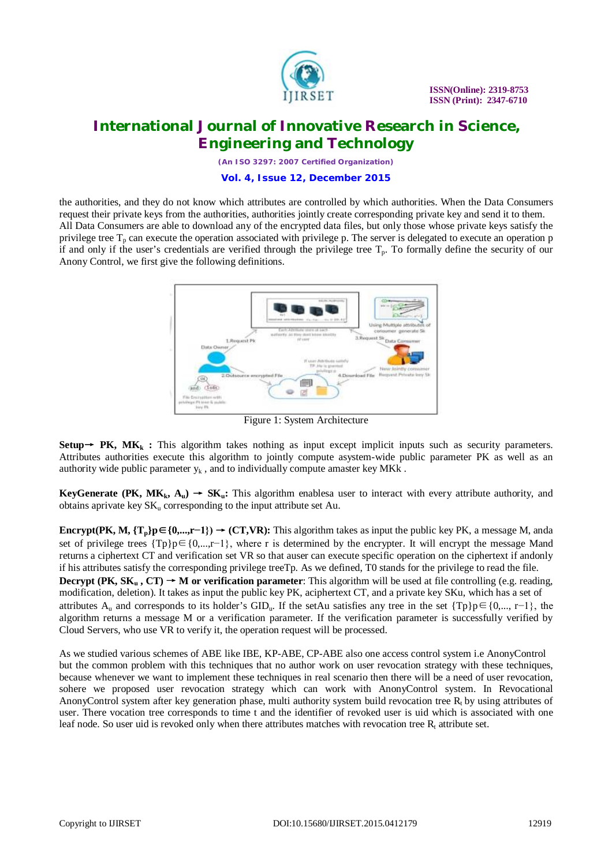

*(An ISO 3297: 2007 Certified Organization)*

**Vol. 4, Issue 12, December 2015**

the authorities, and they do not know which attributes are controlled by which authorities. When the Data Consumers request their private keys from the authorities, authorities jointly create corresponding private key and send it to them. All Data Consumers are able to download any of the encrypted data files, but only those whose private keys satisfy the privilege tree  $T_p$  can execute the operation associated with privilege p. The server is delegated to execute an operation p if and only if the user's credentials are verified through the privilege tree  $T_p$ . To formally define the security of our Anony Control, we first give the following definitions.



Figure 1: System Architecture

**Setup**  $\rightarrow$  **PK, MK**<sub>k</sub> : This algorithm takes nothing as input except implicit inputs such as security parameters. Attributes authorities execute this algorithm to jointly compute asystem-wide public parameter PK as well as an authority wide public parameter  $y_k$ , and to individually compute amaster key MKk.

**KeyGenerate (PK,**  $MK_k$ **,**  $A_u$ **)**  $\rightarrow SK_u$ **: This algorithm enablesa user to interact with every attribute authority, and** obtains aprivate key  $SK_u$  corresponding to the input attribute set Au.

**Encrypt(PK, M,**  $\{T_p\}p \in \{0,...,r-1\}$ **) → (CT,VR):** This algorithm takes as input the public key PK, a message M, anda set of privilege trees  $\{Tp\}p \in \{0,\ldots,r-1\}$ , where r is determined by the encrypter. It will encrypt the message Mand returns a ciphertext CT and verification set VR so that auser can execute specific operation on the ciphertext if andonly if his attributes satisfy the corresponding privilege treeTp. As we defined, T0 stands for the privilege to read the file. **Decrypt (PK,**  $SK_n$ **,**  $CT$ **)**  $\rightarrow$  **M or verification parameter: This algorithm will be used at file controlling (e.g. reading,** modification, deletion). It takes as input the public key PK, aciphertext CT, and a private key SKu, which has a set of attributes A<sub>u</sub> and corresponds to its holder's GID<sub>u</sub>. If the setAu satisfies any tree in the set {Tp}p∈{0,..., r−1}, the algorithm returns a message M or a verification parameter. If the verification parameter is successfully verified by Cloud Servers, who use VR to verify it, the operation request will be processed.

As we studied various schemes of ABE like IBE, KP-ABE, CP-ABE also one access control system i.e AnonyControl but the common problem with this techniques that no author work on user revocation strategy with these techniques, because whenever we want to implement these techniques in real scenario then there will be a need of user revocation, sohere we proposed user revocation strategy which can work with AnonyControl system. In Revocational AnonyControl system after key generation phase, multi authority system build revocation tree  $R_t$  by using attributes of user. There vocation tree corresponds to time t and the identifier of revoked user is uid which is associated with one leaf node. So user uid is revoked only when there attributes matches with revocation tree  $R_t$  attribute set.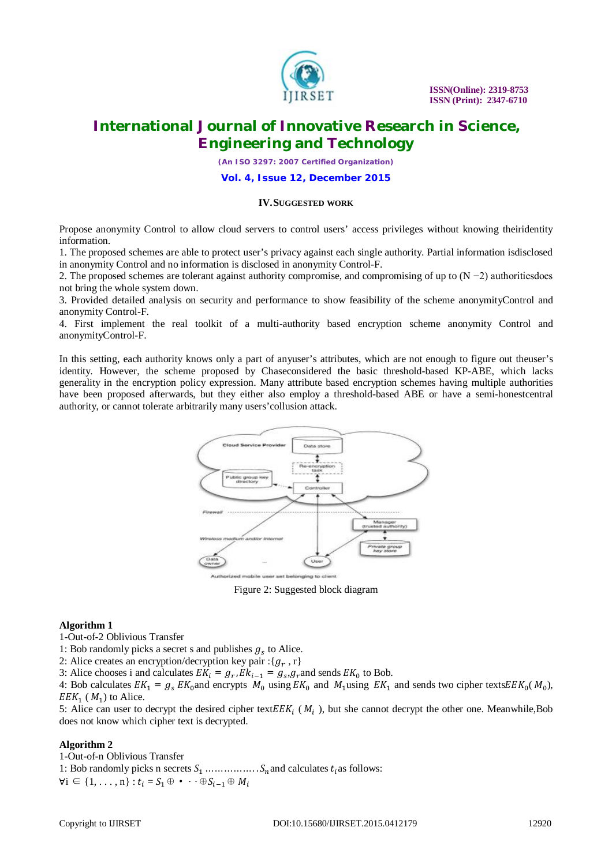

*(An ISO 3297: 2007 Certified Organization)*

**Vol. 4, Issue 12, December 2015**

#### **IV.SUGGESTED WORK**

Propose anonymity Control to allow cloud servers to control users' access privileges without knowing theiridentity information.

1. The proposed schemes are able to protect user's privacy against each single authority. Partial information isdisclosed in anonymity Control and no information is disclosed in anonymity Control-F.

2. The proposed schemes are tolerant against authority compromise, and compromising of up to (N −2) authoritiesdoes not bring the whole system down.

3. Provided detailed analysis on security and performance to show feasibility of the scheme anonymityControl and anonymity Control-F.

4. First implement the real toolkit of a multi-authority based encryption scheme anonymity Control and anonymityControl-F.

In this setting, each authority knows only a part of anyuser's attributes, which are not enough to figure out theuser's identity. However, the scheme proposed by Chaseconsidered the basic threshold-based KP-ABE, which lacks generality in the encryption policy expression. Many attribute based encryption schemes having multiple authorities have been proposed afterwards, but they either also employ a threshold-based ABE or have a semi-honestcentral authority, or cannot tolerate arbitrarily many users'collusion attack.



Figure 2: Suggested block diagram

#### **Algorithm 1**

1-Out-of-2 Oblivious Transfer

1: Bob randomly picks a secret s and publishes  $g_s$  to Alice.

2: Alice creates an encryption/decryption key pair : $\{g_r, r\}$ 

3: Alice chooses i and calculates  $EK_i = g_{r_i} E k_{i-1} = g_s g_r$  and sends  $EK_0$  to Bob.

4: Bob calculates  $EK_1 = g_s E K_0$  and encrypts  $M_0$  using  $EK_0$  and  $M_1$ using  $EK_1$  and sends two cipher texts $E E K_0(M_0)$ ,  $EEK_1$  ( $M_1$ ) to Alice.

5: Alice can user to decrypt the desired cipher text $E E K_i$  ( $M_i$ ), but she cannot decrypt the other one. Meanwhile, Bob does not know which cipher text is decrypted.

## **Algorithm 2**

1-Out-of-n Oblivious Transfer 1: Bob randomly picks n secrets  $S_1$  … … … … . . .  $S_n$  and calculates  $t_i$  as follows:  $\forall i \in \{1, \ldots, n\} : t_i = S_1 \oplus \cdots \oplus S_{i-1} \oplus M_i$